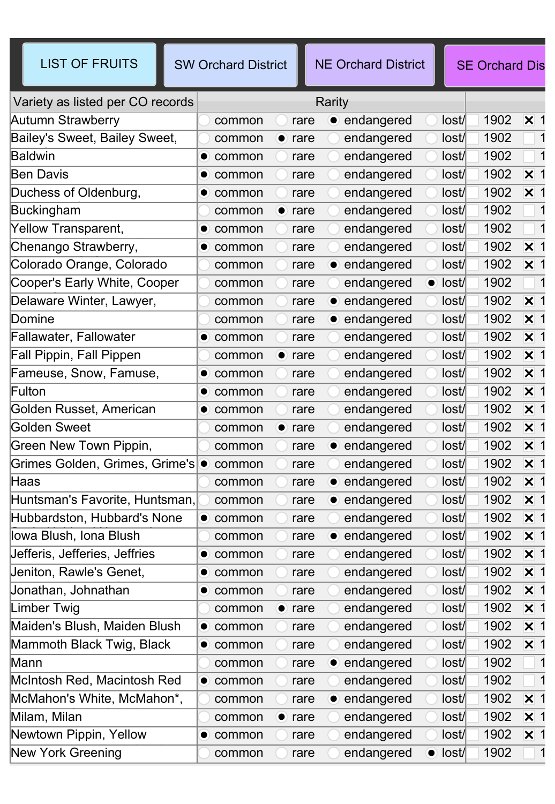| <b>LIST OF FRUITS</b>            | <b>SW Orchard District</b> | <b>NE Orchard District</b>      |                 | <b>SE Orchard Dis</b> |                             |
|----------------------------------|----------------------------|---------------------------------|-----------------|-----------------------|-----------------------------|
| Variety as listed per CO records |                            | Rarity                          |                 |                       |                             |
| Autumn Strawberry                | common                     | • endangered<br>rare            | lost/           | 1902                  | $\mathsf{\overline{x}}$ 1   |
| Bailey's Sweet, Bailey Sweet,    | $\bullet$ rare<br>common   | endangered                      | lost/           | 1902                  |                             |
| <b>Baldwin</b>                   | $\bullet$ common           | endangered<br>rare              | lost/           | 1902                  | -1                          |
| <b>Ben Davis</b>                 | $\bullet$ common           | endangered<br>rare              | lost/           | 1902                  | $\overline{\mathsf{x}}$ 1   |
| Duchess of Oldenburg,            | $\bullet$ common           | endangered<br>rare              | lost/           | 1902                  | $\overline{\mathsf{x}}$ 1   |
| Buckingham                       | common<br>$\bullet$ rare   | endangered                      | lost/           | 1902                  | -1                          |
| Yellow Transparent,              | $\bullet$ common           | endangered<br>rare              | lost/           | 1902                  |                             |
| Chenango Strawberry,             | $\bullet$ common           | endangered<br>rare              | lost/           | 1902                  | $\overline{\mathsf{x}}$ 1   |
| Colorado Orange, Colorado        | common                     | • endangered<br>rare            | lost/           | 1902                  | $\boldsymbol{\mathsf{X}}$ 1 |
| Cooper's Early White, Cooper     | common                     | endangered<br>rare              | $\bullet$ lost/ | 1902                  |                             |
| Delaware Winter, Lawyer,         | common                     | • endangered<br>rare            | lost/           | 1902                  | $\overline{\mathsf{x}}$ 1   |
| Domine                           | common                     | • endangered<br>rare            | lost/           | 1902                  | $\boldsymbol{\mathsf{X}}$ 1 |
| Fallawater, Fallowater           | $\bullet$ common           | endangered<br>rare              | lost/           | 1902                  | $\mathsf{\overline{x}}$ 1   |
| Fall Pippin, Fall Pippen         | $\bullet$ rare<br>common   | endangered                      | lost/           | 1902                  | $\boldsymbol{\mathsf{X}}$ 1 |
| Fameuse, Snow, Famuse,           | common<br>$\bullet$        | endangered<br>rare              | lost/           | 1902                  | $\boldsymbol{\mathsf{X}}$ 1 |
| Fulton                           | $\bullet$ common           | endangered<br>rare              | lost/           | 1902                  | $\mathsf{\overline{x}}$ 1   |
| Golden Russet, American          | $\bullet$ common           | endangered<br>rare              | lost/           | 1902                  | $\overline{\mathsf{x}}$ 1   |
| Golden Sweet                     | common<br>$\bullet$        | endangered<br>rare              | lost/           | 1902                  | $\boldsymbol{\mathsf{X}}$ 1 |
| Green New Town Pippin,           | common                     | • endangered<br>rare            | lost/           | 1902                  | $\mathsf{\overline{x}}$ 1   |
| Grimes Golden, Grimes, Grime's . | common                     | endangered<br>rare              | lost/           | 1902                  | $\boldsymbol{\mathsf{X}}$ 1 |
| Haas                             | common                     | endangered<br>rare<br>$\bullet$ | lost/           | 1902                  | $\boldsymbol{\mathsf{X}}$ 1 |
| Huntsman's Favorite, Huntsman.   | common                     | • endangered<br>rare            | lost/           | 1902                  | $\mathsf{\overline{x}}$ 1   |
| Hubbardston, Hubbard's None      | $\bullet$<br>common        | endangered<br>rare              | lost/           | 1902                  | $\boldsymbol{\times}$ 1     |
| lowa Blush, Iona Blush           | common                     | • endangered<br>rare            | lost/           | 1902                  | $\times$ 1                  |
| Jefferis, Jefferies, Jeffries    | $\bullet$ common           | endangered<br>rare              | lost/           | 1902                  | $\boldsymbol{\mathsf{X}}$ 1 |
| Jeniton, Rawle's Genet,          | $\bullet$ common           | endangered<br>rare              | lost/           | 1902                  | $\boldsymbol{\mathsf{X}}$ 1 |
| Jonathan, Johnathan              | $\bullet$ common           | endangered<br>rare              | lost/           | 1902                  | $\boldsymbol{\mathsf{X}}$ 1 |
| Limber Twig                      | common                     | endangered<br>$\bullet$ rare    | lost/           | 1902                  | $\boldsymbol{\times}$ 1     |
| Maiden's Blush, Maiden Blush     | $\bullet$ common           | endangered<br>rare              | lost/           | 1902 × 1              |                             |
| Mammoth Black Twig, Black        | $\bullet$ common           | endangered<br>rare              | lost/           | 1902                  | $\boldsymbol{\mathsf{X}}$ 1 |
| Mann                             | common                     | • endangered<br>rare            | lost/           | 1902                  | $\blacksquare$              |
| McIntosh Red, Macintosh Red      | $\bullet$ common           | endangered<br>rare              | lost/           | 1902                  | $\vert$ 1                   |
| McMahon's White, McMahon*,       | common                     | • endangered<br>rare            | lost/           | 1902                  | $\boldsymbol{\mathsf{X}}$ 1 |
| Milam, Milan                     | common                     | endangered<br>$\bullet$ rare    | lost/           | 1902                  | $\boldsymbol{\times}$ 1     |
| Newtown Pippin, Yellow           | $\bullet$ common           | endangered<br>rare              | lost/           | 1902 × 1              |                             |
| <b>New York Greening</b>         | common                     | endangered<br>rare              | $\bullet$ lost/ | 1902                  | -1                          |
|                                  |                            |                                 |                 |                       |                             |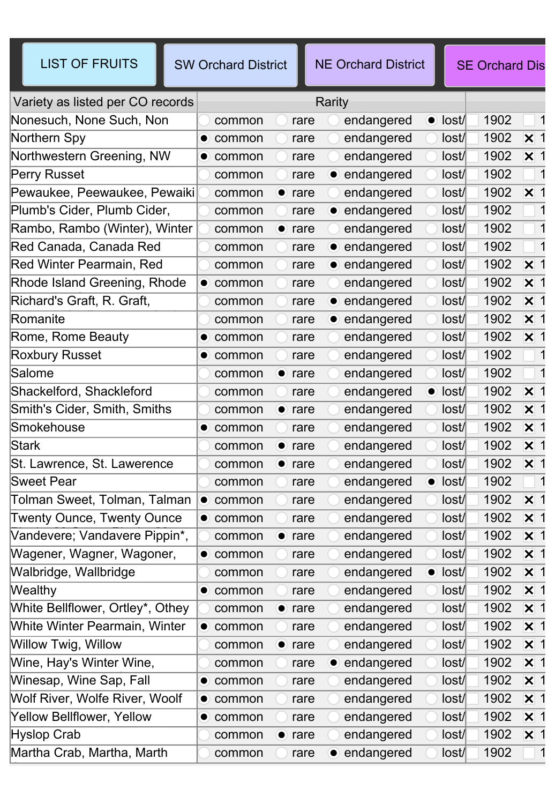| <b>LIST OF FRUITS</b>                      | <b>SW Orchard District</b>  | <b>NE Orchard District</b> |                    | <b>SE Orchard Dis</b>               |  |  |
|--------------------------------------------|-----------------------------|----------------------------|--------------------|-------------------------------------|--|--|
| Variety as listed per CO records<br>Rarity |                             |                            |                    |                                     |  |  |
| Nonesuch, None Such, Non                   | common<br>rare              | endangered                 | $\bullet$<br>lost/ | 1902                                |  |  |
| Northern Spy                               | $\bullet$ common<br>rare    | endangered                 | lost/              | 1902<br>$\overline{\mathsf{x}}$ 1   |  |  |
| Northwestern Greening, NW                  | $\bullet$ common<br>rare    | endangered                 | lost/              | 1902<br>$\mathsf{\overline{x}}$ 1   |  |  |
| Perry Russet                               | rare<br>common              | • endangered               | lost/              | 1902                                |  |  |
| Pewaukee, Peewaukee, Pewaiki               | common<br>$\bullet$ rare    | endangered                 | lost/              | 1902<br>$\overline{\mathsf{x}}$ 1   |  |  |
| Plumb's Cider, Plumb Cider,                | common<br>rare              | • endangered               | lost/              | 1902                                |  |  |
| Rambo, Rambo (Winter), Winter              | $\bullet$<br>rare<br>common | endangered                 | lost/              | 1902                                |  |  |
| Red Canada, Canada Red                     | common<br>rare              | • endangered               | lost/              | 1902                                |  |  |
| Red Winter Pearmain, Red                   | common<br>rare              | • endangered               | lost/              | 1902<br>$\mathsf{\overline{x}}$ 1   |  |  |
| Rhode Island Greening, Rhode               | rare<br>$\bullet$ common    | endangered                 | lost/              | 1902<br>$\overline{\mathsf{x}}$ 1   |  |  |
| Richard's Graft, R. Graft,                 | rare<br>common              | • endangered               | lost/              | 1902<br>$\boldsymbol{\times}$ 1     |  |  |
| Romanite                                   | common<br>rare              | • endangered               | lost/              | 1902<br>$\mathsf{\overline{x}}$ 1   |  |  |
| Rome, Rome Beauty                          | $\bullet$ common<br>rare    | endangered                 | lost/              | 1902<br>$\overline{\mathsf{x}}$ 1   |  |  |
| <b>Roxbury Russet</b>                      | $\bullet$ common<br>rare    | endangered                 | lost/              | 1902                                |  |  |
| Salome                                     | common<br>$\bullet$ rare    | endangered                 | lost/              | 1902                                |  |  |
| Shackelford, Shackleford                   | common<br>rare              | endangered                 | $\bullet$ lost     | 1902<br>$\overline{\mathsf{x}}$ 1   |  |  |
| Smith's Cider, Smith, Smiths               | $\bullet$ rare<br>common    | endangered                 | lost/              | 1902<br>$\overline{\mathsf{x}}$ 1   |  |  |
| Smokehouse                                 | $\bullet$ common<br>rare    | endangered                 | lost/              | 1902<br>$\boldsymbol{\mathsf{X}}$ 1 |  |  |
| <b>Stark</b>                               | common<br>$\bullet$<br>rare | endangered                 | lost/              | 1902<br>$\overline{\mathsf{x}}$ 1   |  |  |
| St. Lawrence, St. Lawerence                | common<br>$\bullet$ rare    | endangered                 | lost/              | 1902<br>$\times$ 1                  |  |  |
| <b>Sweet Pear</b>                          | common<br>rare              | endangered                 | $\bullet$ lost/    | 1902                                |  |  |
| Tolman Sweet, Tolman, Talman               | $\bullet$ common<br>rare    | endangered                 | lost/              | 1902<br>$\overline{\mathsf{x}}$ 1   |  |  |
| <b>Twenty Ounce, Twenty Ounce</b>          | $\bullet$ common<br>rare    | endangered                 | lost/              | 1902<br>$\boldsymbol{\mathsf{x}}$   |  |  |
| Vandevere; Vandavere Pippin*,              | $\bullet$ rare<br>common    | endangered                 | lost/              | 1902 × 1                            |  |  |
| Wagener, Wagner, Wagoner,                  | $\bullet$ common<br>rare    | endangered                 | lost/              | 1902 × 1                            |  |  |
| Walbridge, Wallbridge                      | common<br>rare              | endangered                 | $\bullet$ lost/    | 1902 $\times$ 1                     |  |  |
| Wealthy                                    | $\bullet$ common<br>rare    | endangered                 | lost/              | 1902 × 1                            |  |  |
| White Bellflower, Ortley*, Othey           | common<br>$\bullet$ rare    | endangered                 | lost/              | 1902 × 1                            |  |  |
| White Winter Pearmain, Winter              | $\bullet$ common<br>rare    | endangered                 | lost/              | 1902<br>$\boldsymbol{\mathsf{X}}$ 1 |  |  |
| Willow Twig, Willow                        | $\bullet$ rare<br>common    | endangered                 | lost/              | 1902<br>$\mathsf{X}$ 1              |  |  |
| Wine, Hay's Winter Wine,                   | common<br>rare              | endangered<br>$\bullet$    | lost/              | 1902 × 1                            |  |  |
| Winesap, Wine Sap, Fall                    | $\bullet$ common<br>rare    | endangered                 | lost/              | 1902<br>$\mathsf{x}$ 1              |  |  |
| Wolf River, Wolfe River, Woolf             | $\bullet$ common<br>rare    | endangered                 | lost/              | 1902 × 1                            |  |  |
| Yellow Bellflower, Yellow                  | $\bullet$ common<br>rare    | endangered                 | lost/              | 1902<br>$\boldsymbol{\mathsf{X}}$ 1 |  |  |
| <b>Hyslop Crab</b>                         | common<br>$\bullet$ rare    | endangered                 | lost/              | 1902<br>$\boldsymbol{\times}$ 1     |  |  |
| Martha Crab, Martha, Marth                 | common<br>rare              | • endangered               | lost/              | 1902                                |  |  |

Crab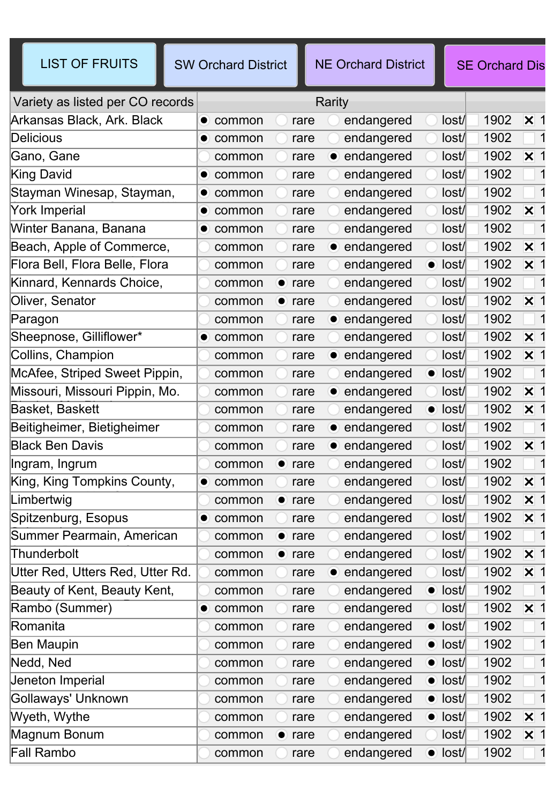| <b>LIST OF FRUITS</b>            | <b>SW Orchard District</b>  | <b>NE Orchard District</b> | <b>SE Orchard Dis</b>   |                             |  |  |
|----------------------------------|-----------------------------|----------------------------|-------------------------|-----------------------------|--|--|
| Variety as listed per CO records | Rarity                      |                            |                         |                             |  |  |
| Arkansas Black, Ark. Black       | rare<br>$\bullet$ common    | endangered                 | 1902<br>lost/           | $\mathsf{\overline{x}}$ 1   |  |  |
| <b>Delicious</b>                 | $\bullet$ common<br>rare    | endangered                 | 1902<br>lost/           |                             |  |  |
| Gano, Gane                       | rare<br>common              | • endangered               | 1902<br>lost/           | $\mathsf{\overline{x}}$ 1   |  |  |
| King David                       | common<br>rare<br>$\bullet$ | endangered                 | 1902<br>lost/           | -1                          |  |  |
| Stayman Winesap, Stayman,        | $\bullet$ common<br>rare    | endangered                 | 1902<br>lost/           |                             |  |  |
| York Imperial                    | $\bullet$ common<br>rare    | endangered                 | 1902<br>lost/           | $\mathsf{\overline{x}}$ 1   |  |  |
| Winter Banana, Banana            | rare<br>$\bullet$ common    | endangered                 | 1902<br>lost/           | -1                          |  |  |
| Beach, Apple of Commerce,        | rare<br>common              | • endangered               | 1902<br>lost/           | $\mathsf{\overline{x}}$ 1   |  |  |
| Flora Bell, Flora Belle, Flora   | common<br>rare              | endangered                 | 1902<br>$\bullet$ lost/ | $\mathsf{\overline{x}}$ 1   |  |  |
| Kinnard, Kennards Choice,        | common<br>rare<br>$\bullet$ | endangered                 | 1902<br>lost/           | -1                          |  |  |
| Oliver, Senator                  | common<br>$\bullet$ rare    | endangered                 | 1902<br>lost/           | $\mathsf{\overline{x}}$ 1   |  |  |
| Paragon                          | common<br>rare              | • endangered               | 1902<br>lost/           |                             |  |  |
| Sheepnose, Gilliflower*          | rare<br>$\bullet$ common    | endangered                 | 1902<br>lost/           | $\mathsf{\overline{x}}$ 1   |  |  |
| Collins, Champion                | common<br>rare              | • endangered               | 1902<br>lost/           | $\mathsf{\overline{x}}$ 1   |  |  |
| McAfee, Striped Sweet Pippin,    | rare<br>common              | endangered                 | 1902<br>$\bullet$ lost/ |                             |  |  |
| Missouri, Missouri Pippin, Mo.   | common<br>rare              | • endangered               | 1902<br>lost/           | $\overline{\mathsf{x}}$ 1   |  |  |
| Basket, Baskett                  | rare<br>common              | endangered                 | 1902<br>$\bullet$ lost/ | $\boldsymbol{\mathsf{X}}$ 1 |  |  |
| Beitigheimer, Bietigheimer       | common<br>rare              | • endangered               | 1902<br>lost/           |                             |  |  |
| <b>Black Ben Davis</b>           | common<br>rare              | • endangered               | 1902<br>lost/           | $\mathsf{\overline{x}}$ 1   |  |  |
| Ingram, Ingrum                   | $\bullet$ rare<br>common    | endangered                 | 1902<br>lost/           |                             |  |  |
| King, King Tompkins County,      | common<br>rare<br>$\bullet$ | endangered                 | 1902<br>lost/           | $\mathsf{\overline{x}}$ 1   |  |  |
| Limbertwig                       | common<br>$\bullet$<br>rare | endangered                 | 1902<br>lost/           | $\mathsf{\overline{x}}$ 1   |  |  |
| Spitzenburg, Esopus              | common<br>rare<br>$\bullet$ | endangered                 | lost/<br>1902           | $\times$ 1                  |  |  |
| Summer Pearmain, American        | common<br>$\bullet$ rare    | endangered                 | 1902<br>lost/           | $\vert$ 1                   |  |  |
| Thunderbolt                      | common<br>$\bullet$ rare    | endangered                 | 1902<br>lost/           | $\mathsf{X}$ 1              |  |  |
| Utter Red, Utters Red, Utter Rd. | common<br>rare              | • endangered               | 1902<br>lost/           | $\boldsymbol{\mathsf{X}}$ 1 |  |  |
| Beauty of Kent, Beauty Kent,     | common<br>rare              | endangered                 | 1902<br>$\bullet$ lost/ |                             |  |  |
| Rambo (Summer)                   | $\bullet$ common<br>rare    | endangered                 | 1902<br>lost/           | $\overline{\mathsf{x}}$ 1   |  |  |
| Romanita                         | common<br>rare              | endangered                 | 1902<br>$\bullet$ lost/ | -1                          |  |  |
| <b>Ben Maupin</b>                | common<br>rare              | endangered                 | 1902<br>$\bullet$ lost/ |                             |  |  |
| Nedd, Ned                        | common<br>rare              | endangered                 | 1902<br>$\bullet$ lost/ |                             |  |  |
| Jeneton Imperial                 | common<br>rare              | endangered                 | 1902<br>$\bullet$ lost/ |                             |  |  |
| Gollaways' Unknown               | common<br>rare              | endangered                 | 1902<br>$\bullet$ lost/ |                             |  |  |
| Wyeth, Wythe                     | common<br>rare              | endangered                 | 1902<br>$\bullet$ lost/ | $\overline{\mathsf{x}}$ 1   |  |  |
| Magnum Bonum                     | common<br>$\bullet$ rare    | endangered                 | 1902<br>lost/           | $\boldsymbol{\mathsf{X}}$ 1 |  |  |
| Fall Rambo                       | common<br>rare              | endangered                 | 1902<br>$\bullet$ lost/ |                             |  |  |